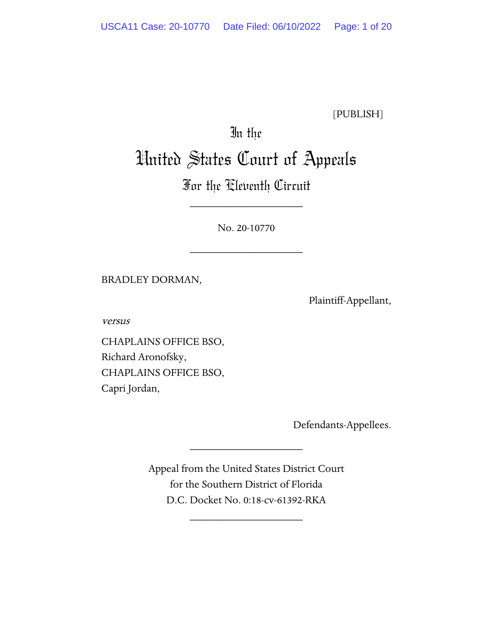[PUBLISH]

# In the

## United States Court of Appeals

### For the Eleventh Circuit

\_\_\_\_\_\_\_\_\_\_\_\_\_\_\_\_\_\_\_\_

No. 20-10770

\_\_\_\_\_\_\_\_\_\_\_\_\_\_\_\_\_\_\_\_

BRADLEY DORMAN,

Plaintiff-Appellant,

versus

CHAPLAINS OFFICE BSO, Richard Aronofsky, CHAPLAINS OFFICE BSO, Capri Jordan,

Defendants-Appellees.

Appeal from the United States District Court for the Southern District of Florida D.C. Docket No. 0:18-cv-61392-RKA

\_\_\_\_\_\_\_\_\_\_\_\_\_\_\_\_\_\_\_\_

\_\_\_\_\_\_\_\_\_\_\_\_\_\_\_\_\_\_\_\_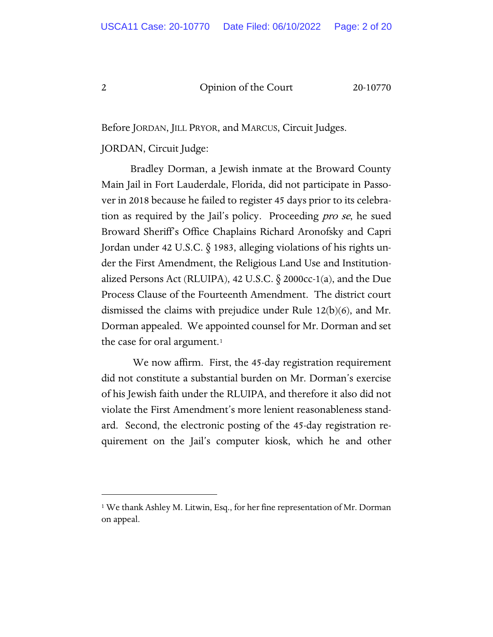Before JORDAN, JILL PRYOR, and MARCUS, Circuit Judges.

#### JORDAN, Circuit Judge:

Bradley Dorman, a Jewish inmate at the Broward County Main Jail in Fort Lauderdale, Florida, did not participate in Passover in 2018 because he failed to register 45 days prior to its celebration as required by the Jail's policy. Proceeding pro se, he sued Broward Sheriff's Office Chaplains Richard Aronofsky and Capri Jordan under 42 U.S.C. § 1983, alleging violations of his rights under the First Amendment, the Religious Land Use and Institutionalized Persons Act (RLUIPA), 42 U.S.C. § 2000cc-1(a), and the Due Process Clause of the Fourteenth Amendment. The district court dismissed the claims with prejudice under Rule 12(b)(6), and Mr. Dorman appealed. We appointed counsel for Mr. Dorman and set the case for oral argument.<sup>1</sup>

We now affirm. First, the 45-day registration requirement did not constitute a substantial burden on Mr. Dorman's exercise of his Jewish faith under the RLUIPA, and therefore it also did not violate the First Amendment's more lenient reasonableness standard. Second, the electronic posting of the 45-day registration requirement on the Jail's computer kiosk, which he and other

<span id="page-1-0"></span><sup>1</sup> We thank Ashley M. Litwin, Esq., for her fine representation of Mr. Dorman on appeal.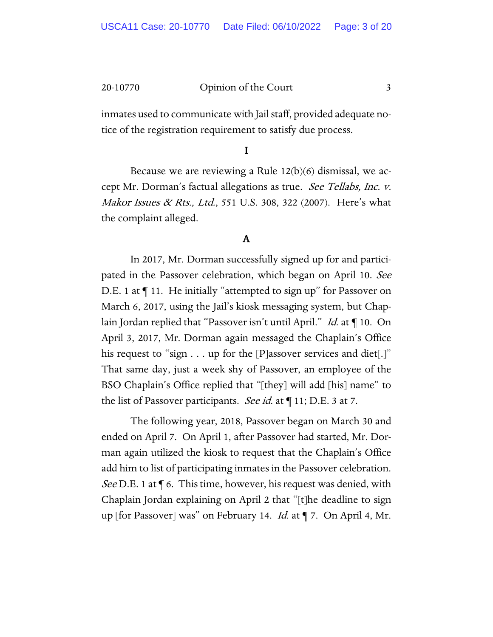inmates used to communicate with Jail staff, provided adequate notice of the registration requirement to satisfy due process.

#### I

Because we are reviewing a Rule  $12(b)(6)$  dismissal, we accept Mr. Dorman's factual allegations as true. See Tellabs, Inc. v. Makor Issues & Rts., Ltd., 551 U.S. 308, 322 (2007). Here's what the complaint alleged.

### A

In 2017, Mr. Dorman successfully signed up for and participated in the Passover celebration, which began on April 10. See D.E. 1 at  $\P$  11. He initially "attempted to sign up" for Passover on March 6, 2017, using the Jail's kiosk messaging system, but Chaplain Jordan replied that "Passover isn't until April." Id. at ¶ 10. On April 3, 2017, Mr. Dorman again messaged the Chaplain's Office his request to "sign  $\dots$  up for the [P]assover services and diet[.]" That same day, just a week shy of Passover, an employee of the BSO Chaplain's Office replied that "[they] will add [his] name" to the list of Passover participants. *See id.* at  $\P$  11; D.E. 3 at 7.

The following year, 2018, Passover began on March 30 and ended on April 7. On April 1, after Passover had started, Mr. Dorman again utilized the kiosk to request that the Chaplain's Office add him to list of participating inmates in the Passover celebration. *See* D.E. 1 at  $\P$  6. This time, however, his request was denied, with Chaplain Jordan explaining on April 2 that "[t]he deadline to sign up [for Passover] was" on February 14. *Id.* at ¶ 7. On April 4, Mr.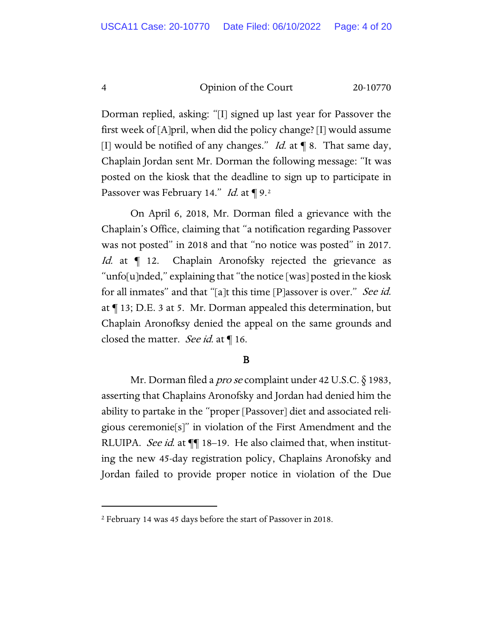Dorman replied, asking: "[I] signed up last year for Passover the first week of [A]pril, when did the policy change? [I] would assume [I] would be notified of any changes." *Id.* at  $\P$  8. That same day, Chaplain Jordan sent Mr. Dorman the following message: "It was posted on the kiosk that the deadline to sign up to participate in Passover was February 14." Id. at  $\P$  9.<sup>[2](#page-3-0)</sup>

On April 6, 2018, Mr. Dorman filed a grievance with the Chaplain's Office, claiming that "a notification regarding Passover was not posted" in 2018 and that "no notice was posted" in 2017. Id. at  $\P$  12. Chaplain Aronofsky rejected the grievance as "unfo[u]nded," explaining that "the notice [was] posted in the kiosk for all inmates" and that "[a]t this time [P]assover is over." See id. at ¶ 13; D.E. 3 at 5. Mr. Dorman appealed this determination, but Chaplain Aronofksy denied the appeal on the same grounds and closed the matter. See id. at ¶ 16.

#### B

Mr. Dorman filed a pro se complaint under 42 U.S.C. § 1983, asserting that Chaplains Aronofsky and Jordan had denied him the ability to partake in the "proper [Passover] diet and associated religious ceremonie[s]" in violation of the First Amendment and the RLUIPA. See id. at  $\P$  18-19. He also claimed that, when instituting the new 45-day registration policy, Chaplains Aronofsky and Jordan failed to provide proper notice in violation of the Due

<span id="page-3-0"></span><sup>2</sup> February 14 was 45 days before the start of Passover in 2018.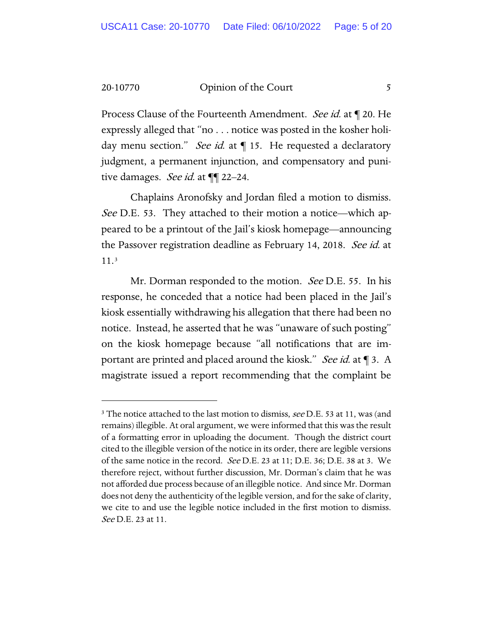Process Clause of the Fourteenth Amendment. See id. at  $\P$  20. He expressly alleged that "no . . . notice was posted in the kosher holiday menu section." See id. at  $\P$  15. He requested a declaratory judgment, a permanent injunction, and compensatory and punitive damages. See id. at  $\P$  22–24.

Chaplains Aronofsky and Jordan filed a motion to dismiss. See D.E. 53. They attached to their motion a notice—which appeared to be a printout of the Jail's kiosk homepage—announcing the Passover registration deadline as February 14, 2018. See id. at 11.[3](#page-4-0)

Mr. Dorman responded to the motion. See D.E. 55. In his response, he conceded that a notice had been placed in the Jail's kiosk essentially withdrawing his allegation that there had been no notice. Instead, he asserted that he was "unaware of such posting" on the kiosk homepage because "all notifications that are important are printed and placed around the kiosk." See id. at \[\ 3. \ A magistrate issued a report recommending that the complaint be

<span id="page-4-0"></span> $3$  The notice attached to the last motion to dismiss, see D.E. 53 at 11, was (and remains) illegible. At oral argument, we were informed that this was the result of a formatting error in uploading the document. Though the district court cited to the illegible version of the notice in its order, there are legible versions of the same notice in the record.  $See$  D.E. 23 at 11; D.E. 36; D.E. 38 at 3. We therefore reject, without further discussion, Mr. Dorman's claim that he was not afforded due process because of an illegible notice. And since Mr. Dorman does not deny the authenticity of the legible version, and for the sake of clarity, we cite to and use the legible notice included in the first motion to dismiss. See D.E. 23 at 11.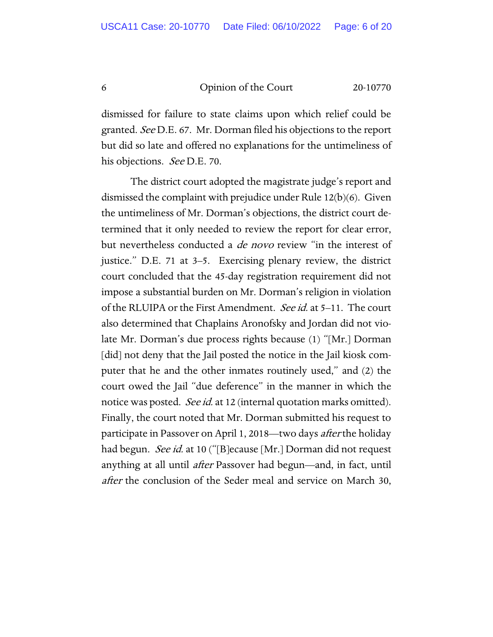dismissed for failure to state claims upon which relief could be granted. See D.E. 67. Mr. Dorman filed his objections to the report but did so late and offered no explanations for the untimeliness of his objections. *See* D.E. 70.

The district court adopted the magistrate judge's report and dismissed the complaint with prejudice under Rule 12(b)(6). Given the untimeliness of Mr. Dorman's objections, the district court determined that it only needed to review the report for clear error, but nevertheless conducted a *de novo* review "in the interest of justice." D.E. 71 at 3–5. Exercising plenary review, the district court concluded that the 45-day registration requirement did not impose a substantial burden on Mr. Dorman's religion in violation of the RLUIPA or the First Amendment. See id. at 5–11. The court also determined that Chaplains Aronofsky and Jordan did not violate Mr. Dorman's due process rights because (1) "[Mr.] Dorman [did] not deny that the Jail posted the notice in the Jail kiosk computer that he and the other inmates routinely used," and (2) the court owed the Jail "due deference" in the manner in which the notice was posted. *See id.* at 12 (internal quotation marks omitted). Finally, the court noted that Mr. Dorman submitted his request to participate in Passover on April 1, 2018—two days after the holiday had begun. *See id.* at 10 ("[B]ecause [Mr.] Dorman did not request anything at all until *after* Passover had begun—and, in fact, until after the conclusion of the Seder meal and service on March 30,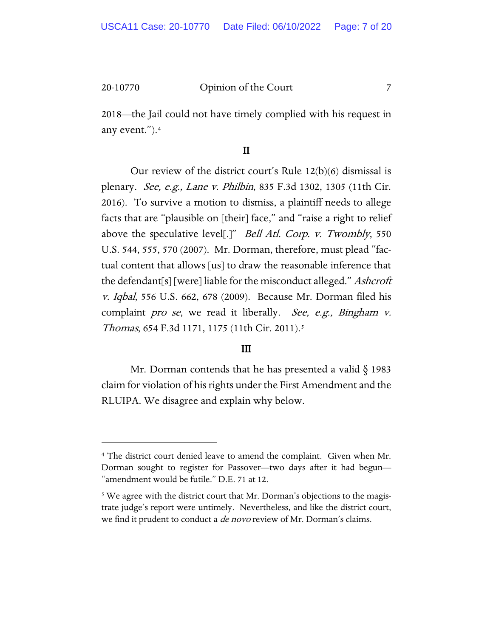2018—the Jail could not have timely complied with his request in any event.").[4](#page-6-0) 

#### II

Our review of the district court's Rule 12(b)(6) dismissal is plenary. See, e.g., Lane v. Philbin, 835 F.3d 1302, 1305 (11th Cir. 2016). To survive a motion to dismiss, a plaintiff needs to allege facts that are "plausible on [their] face," and "raise a right to relief above the speculative level[.]" *Bell Atl. Corp. v. Twombly*, 550 U.S. 544, 555, 570 (2007). Mr. Dorman, therefore, must plead "factual content that allows [us] to draw the reasonable inference that the defendant[s] [were] liable for the misconduct alleged." *Ashcroft* v. Iqbal, 556 U.S. 662, 678 (2009). Because Mr. Dorman filed his complaint *pro se*, we read it liberally. See, e.g., Bingham v. Thomas, 654 F.3d 1171, 1175 (11th Cir. 2011).[5](#page-6-1)

#### III

Mr. Dorman contends that he has presented a valid § 1983 claim for violation of his rights under the First Amendment and the RLUIPA. We disagree and explain why below.

<span id="page-6-0"></span><sup>4</sup> The district court denied leave to amend the complaint. Given when Mr. Dorman sought to register for Passover—two days after it had begun— "amendment would be futile." D.E. 71 at 12.

<span id="page-6-1"></span><sup>&</sup>lt;sup>5</sup> We agree with the district court that Mr. Dorman's objections to the magistrate judge's report were untimely. Nevertheless, and like the district court, we find it prudent to conduct a *de novo* review of Mr. Dorman's claims.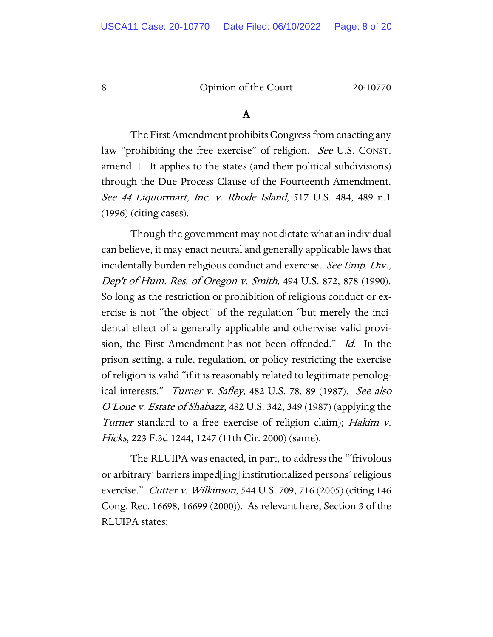#### A

The First Amendment prohibits Congress from enacting any law "prohibiting the free exercise" of religion. See U.S. CONST. amend. I. It applies to the states (and their political subdivisions) through the Due Process Clause of the Fourteenth Amendment. See 44 Liquormart, Inc. v. Rhode Island, 517 U.S. 484, 489 n.1 (1996) (citing cases).

Though the government may not dictate what an individual can believe, it may enact neutral and generally applicable laws that incidentally burden religious conduct and exercise. See Emp. Div., Dep't of Hum. Res. of Oregon v. Smith, 494 U.S. 872, 878 (1990). So long as the restriction or prohibition of religious conduct or exercise is not "the object" of the regulation "but merely the incidental effect of a generally applicable and otherwise valid provision, the First Amendment has not been offended." Id. In the prison setting, a rule, regulation, or policy restricting the exercise of religion is valid "if it is reasonably related to legitimate penological interests." Turner v. Safley, 482 U.S. 78, 89 (1987). See also O'Lone v. Estate of Shabazz, 482 U.S. 342, 349 (1987) (applying the Turner standard to a free exercise of religion claim); Hakim v. Hicks, 223 F.3d 1244, 1247 (11th Cir. 2000) (same).

The RLUIPA was enacted, in part, to address the "'frivolous or arbitrary' barriers imped[ing] institutionalized persons' religious exercise." Cutter v. Wilkinson, 544 U.S. 709, 716 (2005) (citing 146 Cong. Rec. 16698, 16699 (2000)). As relevant here, Section 3 of the RLUIPA states: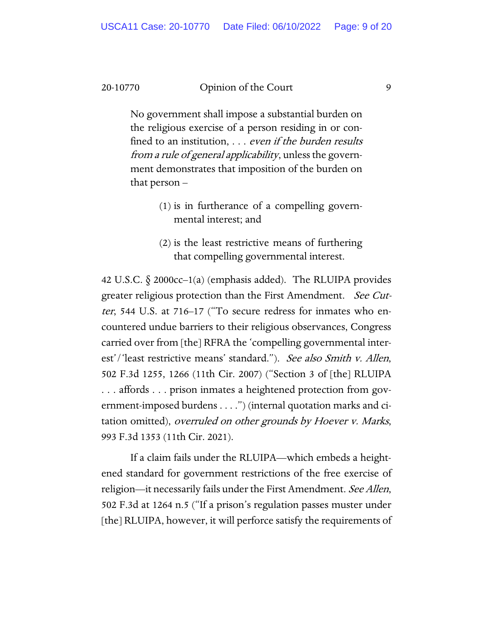No government shall impose a substantial burden on the religious exercise of a person residing in or confined to an institution, ... even if the burden results from a rule of general applicability, unless the government demonstrates that imposition of the burden on that person –

- (1) is in furtherance of a compelling governmental interest; and
- (2) is the least restrictive means of furthering that compelling governmental interest.

42 U.S.C.  $\S$  2000cc–1(a) (emphasis added). The RLUIPA provides greater religious protection than the First Amendment. See Cutter, 544 U.S. at 716–17 ("To secure redress for inmates who encountered undue barriers to their religious observances, Congress carried over from [the] RFRA the 'compelling governmental interest'/'least restrictive means' standard."). See also Smith v. Allen, 502 F.3d 1255, 1266 (11th Cir. 2007) ("Section 3 of [the] RLUIPA . . . affords . . . prison inmates a heightened protection from government-imposed burdens . . . .") (internal quotation marks and citation omitted), *overruled on other grounds by Hoever v. Marks*, 993 F.3d 1353 (11th Cir. 2021).

If a claim fails under the RLUIPA—which embeds a heightened standard for government restrictions of the free exercise of religion—it necessarily fails under the First Amendment. See Allen, 502 F.3d at 1264 n.5 ("If a prison's regulation passes muster under [the] RLUIPA, however, it will perforce satisfy the requirements of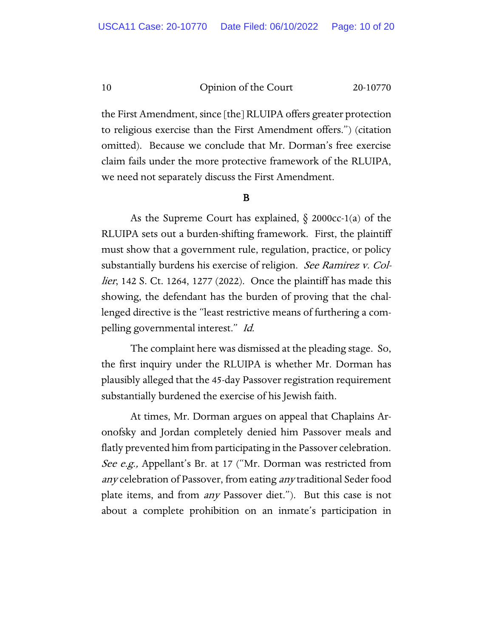the First Amendment, since [the] RLUIPA offers greater protection to religious exercise than the First Amendment offers.") (citation omitted). Because we conclude that Mr. Dorman's free exercise claim fails under the more protective framework of the RLUIPA, we need not separately discuss the First Amendment.

#### B

As the Supreme Court has explained,  $\S$  2000cc-1(a) of the RLUIPA sets out a burden-shifting framework. First, the plaintiff must show that a government rule, regulation, practice, or policy substantially burdens his exercise of religion. See Ramirez v. Col*lier*, 142 S. Ct. 1264, 1277 (2022). Once the plaintiff has made this showing, the defendant has the burden of proving that the challenged directive is the "least restrictive means of furthering a compelling governmental interest." Id.

The complaint here was dismissed at the pleading stage. So, the first inquiry under the RLUIPA is whether Mr. Dorman has plausibly alleged that the 45-day Passover registration requirement substantially burdened the exercise of his Jewish faith.

At times, Mr. Dorman argues on appeal that Chaplains Aronofsky and Jordan completely denied him Passover meals and flatly prevented him from participating in the Passover celebration. See e.g., Appellant's Br. at 17 ("Mr. Dorman was restricted from any celebration of Passover, from eating any traditional Seder food plate items, and from *any* Passover diet."). But this case is not about a complete prohibition on an inmate's participation in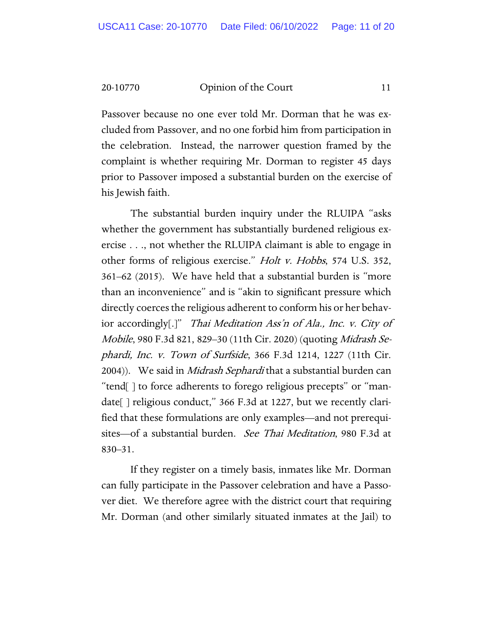Passover because no one ever told Mr. Dorman that he was excluded from Passover, and no one forbid him from participation in the celebration. Instead, the narrower question framed by the complaint is whether requiring Mr. Dorman to register 45 days prior to Passover imposed a substantial burden on the exercise of his Jewish faith.

The substantial burden inquiry under the RLUIPA "asks whether the government has substantially burdened religious exercise . . ., not whether the RLUIPA claimant is able to engage in other forms of religious exercise." Holt v. Hobbs, 574 U.S. 352, 361–62 (2015). We have held that a substantial burden is "more than an inconvenience" and is "akin to significant pressure which directly coerces the religious adherent to conform his or her behavior accordingly[.]" Thai Meditation Ass'n of Ala., Inc. v. City of Mobile, 980 F.3d 821, 829–30 (11th Cir. 2020) (quoting Midrash Sephardi, Inc. v. Town of Surfside, 366 F.3d 1214, 1227 (11th Cir. 2004)). We said in *Midrash Sephardi* that a substantial burden can "tend[ ] to force adherents to forego religious precepts" or "mandate[ ] religious conduct," 366 F.3d at 1227, but we recently clarified that these formulations are only examples—and not prerequisites—of a substantial burden. See Thai Meditation, 980 F.3d at 830–31.

If they register on a timely basis, inmates like Mr. Dorman can fully participate in the Passover celebration and have a Passover diet. We therefore agree with the district court that requiring Mr. Dorman (and other similarly situated inmates at the Jail) to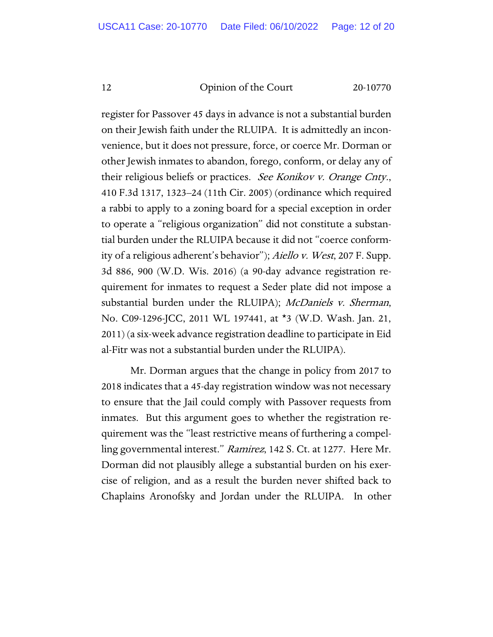register for Passover 45 days in advance is not a substantial burden on their Jewish faith under the RLUIPA. It is admittedly an inconvenience, but it does not pressure, force, or coerce Mr. Dorman or other Jewish inmates to abandon, forego, conform, or delay any of their religious beliefs or practices. See Konikov v. Orange Cnty., 410 F.3d 1317, 1323–24 (11th Cir. 2005) (ordinance which required a rabbi to apply to a zoning board for a special exception in order to operate a "religious organization" did not constitute a substantial burden under the RLUIPA because it did not "coerce conformity of a religious adherent's behavior"); Aiello v. West, 207 F. Supp. 3d 886, 900 (W.D. Wis. 2016) (a 90-day advance registration requirement for inmates to request a Seder plate did not impose a substantial burden under the RLUIPA); McDaniels v. Sherman, No. C09-1296-JCC, 2011 WL 197441, at \*3 (W.D. Wash. Jan. 21, 2011) (a six-week advance registration deadline to participate in Eid al-Fitr was not a substantial burden under the RLUIPA).

Mr. Dorman argues that the change in policy from 2017 to 2018 indicates that a 45-day registration window was not necessary to ensure that the Jail could comply with Passover requests from inmates. But this argument goes to whether the registration requirement was the "least restrictive means of furthering a compelling governmental interest." Ramirez, 142 S. Ct. at 1277. Here Mr. Dorman did not plausibly allege a substantial burden on his exercise of religion, and as a result the burden never shifted back to Chaplains Aronofsky and Jordan under the RLUIPA. In other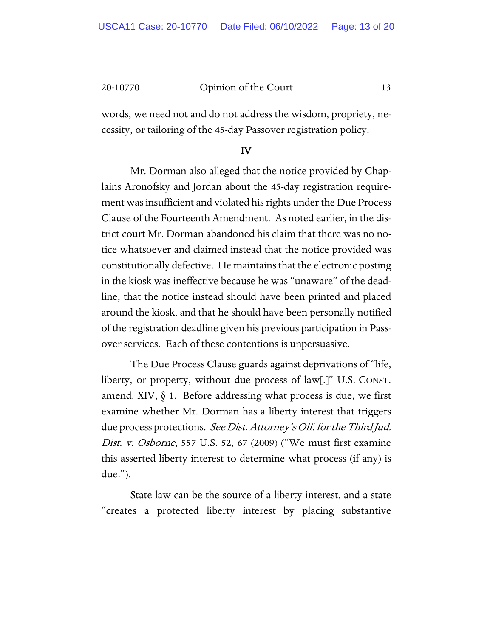words, we need not and do not address the wisdom, propriety, necessity, or tailoring of the 45-day Passover registration policy.

#### IV

 Mr. Dorman also alleged that the notice provided by Chaplains Aronofsky and Jordan about the 45-day registration requirement was insufficient and violated his rights under the Due Process Clause of the Fourteenth Amendment. As noted earlier, in the district court Mr. Dorman abandoned his claim that there was no notice whatsoever and claimed instead that the notice provided was constitutionally defective. He maintains that the electronic posting in the kiosk was ineffective because he was "unaware" of the deadline, that the notice instead should have been printed and placed around the kiosk, and that he should have been personally notified of the registration deadline given his previous participation in Passover services. Each of these contentions is unpersuasive.

The Due Process Clause guards against deprivations of "life, liberty, or property, without due process of law[.]" U.S. CONST. amend. XIV,  $\S$  1. Before addressing what process is due, we first examine whether Mr. Dorman has a liberty interest that triggers due process protections. See Dist. Attorney's Off. for the Third Jud. Dist. v. Osborne, 557 U.S. 52, 67 (2009) ("We must first examine this asserted liberty interest to determine what process (if any) is due.").

State law can be the source of a liberty interest, and a state "creates a protected liberty interest by placing substantive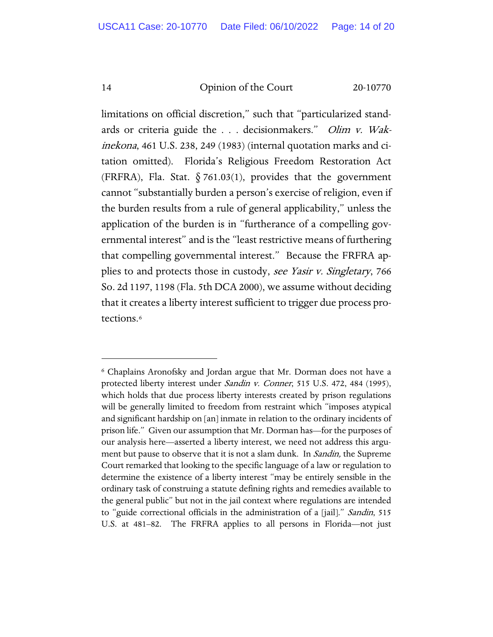limitations on official discretion," such that "particularized standards or criteria guide the . . . decisionmakers." *Olim v. Wak*inekona, 461 U.S. 238, 249 (1983) (internal quotation marks and citation omitted). Florida's Religious Freedom Restoration Act (FRFRA), Fla. Stat.  $\S$  761.03(1), provides that the government cannot "substantially burden a person's exercise of religion, even if the burden results from a rule of general applicability," unless the application of the burden is in "furtherance of a compelling governmental interest" and is the "least restrictive means of furthering that compelling governmental interest." Because the FRFRA applies to and protects those in custody, see Yasir v. Singletary, 766 So. 2d 1197, 1198 (Fla. 5th DCA 2000), we assume without deciding that it creates a liberty interest sufficient to trigger due process protections.[6](#page-13-0)

<span id="page-13-0"></span><sup>6</sup> Chaplains Aronofsky and Jordan argue that Mr. Dorman does not have a protected liberty interest under Sandin v. Conner, 515 U.S. 472, 484 (1995), which holds that due process liberty interests created by prison regulations will be generally limited to freedom from restraint which "imposes atypical and significant hardship on [an] inmate in relation to the ordinary incidents of prison life." Given our assumption that Mr. Dorman has—for the purposes of our analysis here—asserted a liberty interest, we need not address this argument but pause to observe that it is not a slam dunk. In *Sandin*, the Supreme Court remarked that looking to the specific language of a law or regulation to determine the existence of a liberty interest "may be entirely sensible in the ordinary task of construing a statute defining rights and remedies available to the general public" but not in the jail context where regulations are intended to "guide correctional officials in the administration of a [jail]." Sandin, 515 U.S. at 481–82. The FRFRA applies to all persons in Florida—not just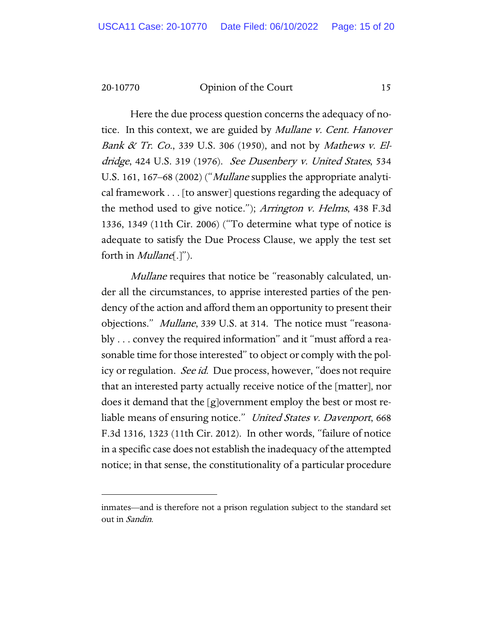Here the due process question concerns the adequacy of notice. In this context, we are guided by Mullane v. Cent. Hanover Bank  $\&$  Tr. Co., 339 U.S. 306 (1950), and not by Mathews v. Eldridge, 424 U.S. 319 (1976). See Dusenbery v. United States, 534 U.S. 161, 167–68 (2002) ("*Mullane* supplies the appropriate analytical framework . . . [to answer] questions regarding the adequacy of the method used to give notice."); Arrington v. Helms, 438 F.3d 1336, 1349 (11th Cir. 2006) ("To determine what type of notice is adequate to satisfy the Due Process Clause, we apply the test set forth in *Mullane*[.]").

Mullane requires that notice be "reasonably calculated, under all the circumstances, to apprise interested parties of the pendency of the action and afford them an opportunity to present their objections." Mullane, 339 U.S. at 314. The notice must "reasonably . . . convey the required information" and it "must afford a reasonable time for those interested" to object or comply with the policy or regulation. *See id.* Due process, however, "does not require that an interested party actually receive notice of the [matter], nor does it demand that the [g]overnment employ the best or most reliable means of ensuring notice." United States v. Davenport, 668 F.3d 1316, 1323 (11th Cir. 2012). In other words, "failure of notice in a specific case does not establish the inadequacy of the attempted notice; in that sense, the constitutionality of a particular procedure

inmates—and is therefore not a prison regulation subject to the standard set out in Sandin.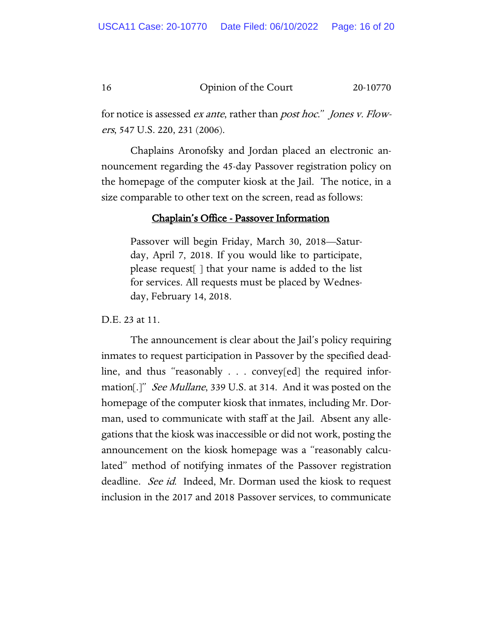for notice is assessed *ex ante*, rather than *post hoc.*" *Jones v. Flow*ers, 547 U.S. 220, 231 (2006).

Chaplains Aronofsky and Jordan placed an electronic announcement regarding the 45-day Passover registration policy on the homepage of the computer kiosk at the Jail. The notice, in a size comparable to other text on the screen, read as follows:

#### Chaplain's Office - Passover Information

Passover will begin Friday, March 30, 2018—Saturday, April 7, 2018. If you would like to participate, please request[ ] that your name is added to the list for services. All requests must be placed by Wednesday, February 14, 2018.

D.E. 23 at 11.

The announcement is clear about the Jail's policy requiring inmates to request participation in Passover by the specified deadline, and thus "reasonably . . . convey[ed] the required information[.]" *See Mullane*, 339 U.S. at 314. And it was posted on the homepage of the computer kiosk that inmates, including Mr. Dorman, used to communicate with staff at the Jail. Absent any allegations that the kiosk was inaccessible or did not work, posting the announcement on the kiosk homepage was a "reasonably calculated" method of notifying inmates of the Passover registration deadline. *See id.* Indeed, Mr. Dorman used the kiosk to request inclusion in the 2017 and 2018 Passover services, to communicate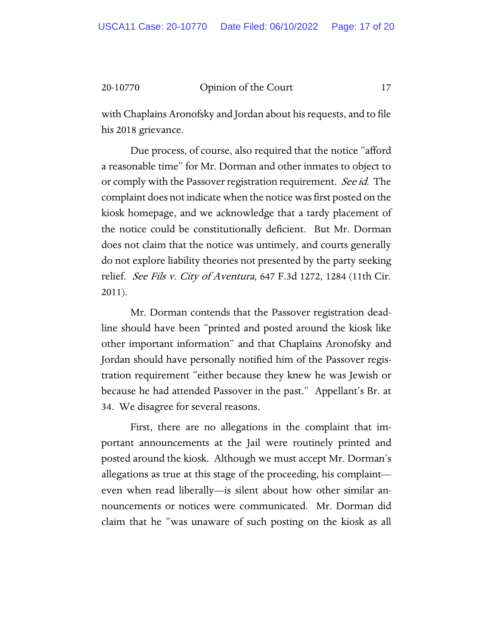with Chaplains Aronofsky and Jordan about his requests, and to file his 2018 grievance.

Due process, of course, also required that the notice "afford a reasonable time" for Mr. Dorman and other inmates to object to or comply with the Passover registration requirement. See id. The complaint does not indicate when the notice was first posted on the kiosk homepage, and we acknowledge that a tardy placement of the notice could be constitutionally deficient. But Mr. Dorman does not claim that the notice was untimely, and courts generally do not explore liability theories not presented by the party seeking relief. See Fils v. City of Aventura, 647 F.3d 1272, 1284 (11th Cir. 2011).

Mr. Dorman contends that the Passover registration deadline should have been "printed and posted around the kiosk like other important information" and that Chaplains Aronofsky and Jordan should have personally notified him of the Passover registration requirement "either because they knew he was Jewish or because he had attended Passover in the past." Appellant's Br. at 34. We disagree for several reasons.

First, there are no allegations in the complaint that important announcements at the Jail were routinely printed and posted around the kiosk. Although we must accept Mr. Dorman's allegations as true at this stage of the proceeding, his complaint even when read liberally—is silent about how other similar announcements or notices were communicated. Mr. Dorman did claim that he "was unaware of such posting on the kiosk as all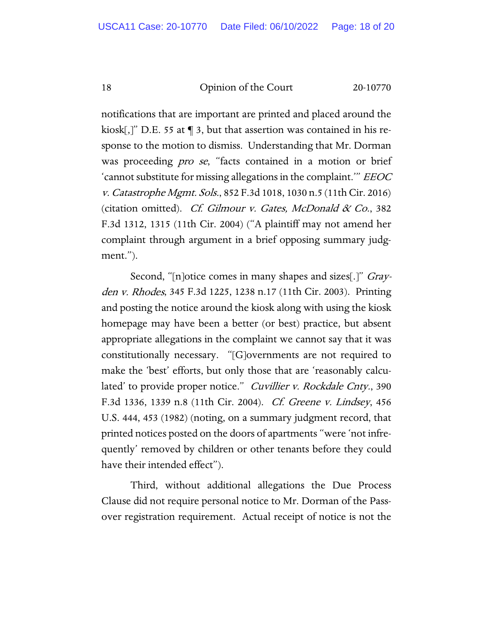notifications that are important are printed and placed around the kiosk[,]" D.E. 55 at ¶ 3, but that assertion was contained in his response to the motion to dismiss. Understanding that Mr. Dorman was proceeding *pro se*, "facts contained in a motion or brief 'cannot substitute for missing allegations in the complaint.'" EEOC v. Catastrophe Mgmt. Sols., 852 F.3d 1018, 1030 n.5 (11th Cir. 2016) (citation omitted). Cf. Gilmour v. Gates, McDonald  $\&$  Co., 382 F.3d 1312, 1315 (11th Cir. 2004) ("A plaintiff may not amend her complaint through argument in a brief opposing summary judgment.").

Second, "[n]otice comes in many shapes and sizes[.]" *Gray*den v. Rhodes, 345 F.3d 1225, 1238 n.17 (11th Cir. 2003). Printing and posting the notice around the kiosk along with using the kiosk homepage may have been a better (or best) practice, but absent appropriate allegations in the complaint we cannot say that it was constitutionally necessary. "[G]overnments are not required to make the 'best' efforts, but only those that are 'reasonably calculated' to provide proper notice." Cuvillier v. Rockdale Cnty., 390 F.3d 1336, 1339 n.8 (11th Cir. 2004). *Cf. Greene v. Lindsey*, 456 U.S. 444, 453 (1982) (noting, on a summary judgment record, that printed notices posted on the doors of apartments "were 'not infrequently' removed by children or other tenants before they could have their intended effect").

Third, without additional allegations the Due Process Clause did not require personal notice to Mr. Dorman of the Passover registration requirement. Actual receipt of notice is not the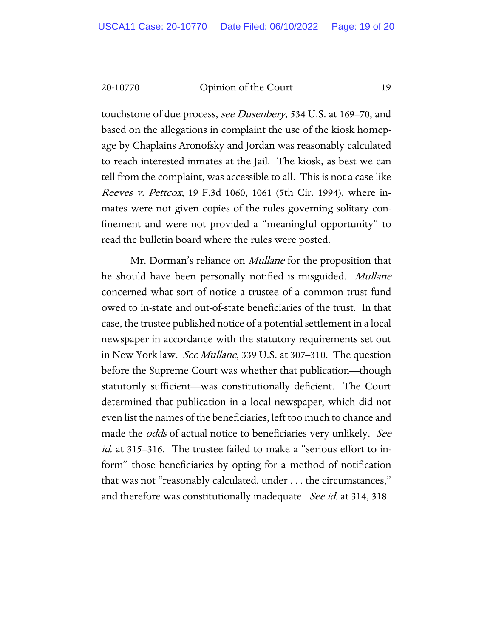touchstone of due process, see Dusenbery, 534 U.S. at 169–70, and based on the allegations in complaint the use of the kiosk homepage by Chaplains Aronofsky and Jordan was reasonably calculated to reach interested inmates at the Jail. The kiosk, as best we can tell from the complaint, was accessible to all. This is not a case like Reeves v. Pettcox, 19 F.3d 1060, 1061 (5th Cir. 1994), where inmates were not given copies of the rules governing solitary confinement and were not provided a "meaningful opportunity" to read the bulletin board where the rules were posted.

Mr. Dorman's reliance on *Mullane* for the proposition that he should have been personally notified is misguided. Mullane concerned what sort of notice a trustee of a common trust fund owed to in-state and out-of-state beneficiaries of the trust. In that case, the trustee published notice of a potential settlement in a local newspaper in accordance with the statutory requirements set out in New York law. See Mullane, 339 U.S. at 307–310. The question before the Supreme Court was whether that publication—though statutorily sufficient—was constitutionally deficient. The Court determined that publication in a local newspaper, which did not even list the names of the beneficiaries, left too much to chance and made the *odds* of actual notice to beneficiaries very unlikely. See id. at 315-316. The trustee failed to make a "serious effort to inform" those beneficiaries by opting for a method of notification that was not "reasonably calculated, under . . . the circumstances," and therefore was constitutionally inadequate. See id. at 314, 318.